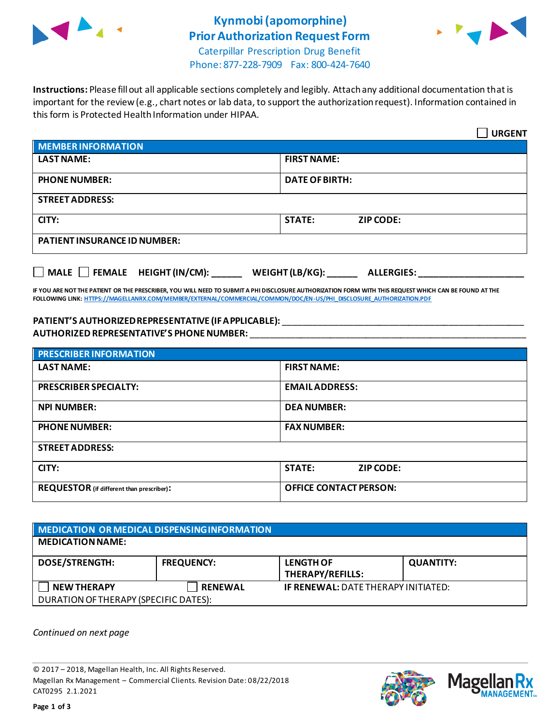

## **Kynmobi(apomorphine) Prior Authorization Request Form**



Caterpillar Prescription Drug Benefit Phone: 877-228-7909 Fax: 800-424-7640

**Instructions:** Please fill out all applicable sections completely and legibly. Attach any additional documentation that is important for the review (e.g., chart notes or lab data, to support the authorization request). Information contained in this form is Protected Health Information under HIPAA.

|                                                                            | <b>URGENT</b>                     |  |  |
|----------------------------------------------------------------------------|-----------------------------------|--|--|
| <b>MEMBER INFORMATION</b>                                                  |                                   |  |  |
| <b>LAST NAME:</b>                                                          | <b>FIRST NAME:</b>                |  |  |
| <b>PHONE NUMBER:</b>                                                       | <b>DATE OF BIRTH:</b>             |  |  |
| <b>STREET ADDRESS:</b>                                                     |                                   |  |  |
| CITY:                                                                      | <b>STATE:</b><br><b>ZIP CODE:</b> |  |  |
| <b>PATIENT INSURANCE ID NUMBER:</b>                                        |                                   |  |  |
| MALE $\Box$ FEMALE HEIGHT (IN/CM):<br>WEIGHT (LB/KG):<br><b>ALLERGIES:</b> |                                   |  |  |

**IF YOU ARE NOT THE PATIENT OR THE PRESCRIBER, YOU WILL NEED TO SUBMIT A PHI DISCLOSURE AUTHORIZATION FORM WITH THIS REQUEST WHICH CAN BE FOUND AT THE FOLLOWING LINK[: HTTPS://MAGELLANRX.COM/MEMBER/EXTERNAL/COMMERCIAL/COMMON/DOC/EN-US/PHI\\_DISCLOSURE\\_AUTHORIZATION.PDF](https://magellanrx.com/member/external/commercial/common/doc/en-us/PHI_Disclosure_Authorization.pdf)**

## **PATIENT'S AUTHORIZED REPRESENTATIVE (IF APPLICABLE):** \_\_\_\_\_\_\_\_\_\_\_\_\_\_\_\_\_\_\_\_\_\_\_\_\_\_\_\_\_\_\_\_\_\_\_\_\_\_\_\_\_\_\_\_\_\_\_\_ **AUTHORIZED REPRESENTATIVE'S PHONE NUMBER:** \_\_\_\_\_\_\_\_\_\_\_\_\_\_\_\_\_\_\_\_\_\_\_\_\_\_\_\_\_\_\_\_\_\_\_\_\_\_\_\_\_\_\_\_\_\_\_\_\_\_\_\_\_\_\_

| <b>PRESCRIBER INFORMATION</b>             |                                   |  |  |
|-------------------------------------------|-----------------------------------|--|--|
| <b>LAST NAME:</b>                         | <b>FIRST NAME:</b>                |  |  |
| <b>PRESCRIBER SPECIALTY:</b>              | <b>EMAIL ADDRESS:</b>             |  |  |
| <b>NPI NUMBER:</b>                        | <b>DEA NUMBER:</b>                |  |  |
| <b>PHONE NUMBER:</b>                      | <b>FAX NUMBER:</b>                |  |  |
| <b>STREET ADDRESS:</b>                    |                                   |  |  |
| CITY:                                     | <b>STATE:</b><br><b>ZIP CODE:</b> |  |  |
| REQUESTOR (if different than prescriber): | <b>OFFICE CONTACT PERSON:</b>     |  |  |

| MEDICATION OR MEDICAL DISPENSING INFORMATION |                   |                                             |                  |  |  |
|----------------------------------------------|-------------------|---------------------------------------------|------------------|--|--|
| <b>MEDICATION NAME:</b>                      |                   |                                             |                  |  |  |
| <b>DOSE/STRENGTH:</b>                        | <b>FREQUENCY:</b> | <b>LENGTH OF</b><br><b>THERAPY/REFILLS:</b> | <b>QUANTITY:</b> |  |  |
| <b>NEW THERAPY</b>                           | <b>RENEWAL</b>    | <b>IF RENEWAL: DATE THERAPY INITIATED:</b>  |                  |  |  |
| DURATION OF THERAPY (SPECIFIC DATES):        |                   |                                             |                  |  |  |

*Continued on next page*

© 2017 – 2018, Magellan Health, Inc. All Rights Reserved. Magellan Rx Management – Commercial Clients. Revision Date: 08/22/2018 CAT0295 2.1.2021



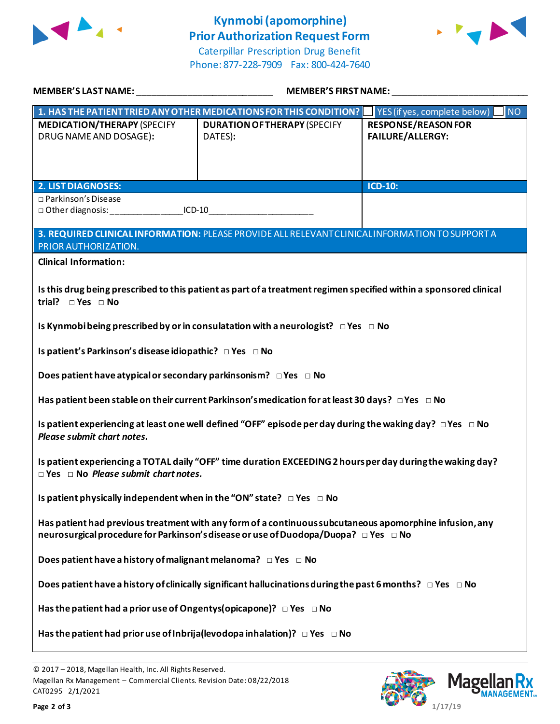

## **Kynmobi(apomorphine) Prior Authorization Request Form**





| <b>MEMBER'S LAST NAME:</b>                                                                                                                                                                     | <b>MEMBER'S FIRST NAME:</b>                                                                 |                                                       |  |  |
|------------------------------------------------------------------------------------------------------------------------------------------------------------------------------------------------|---------------------------------------------------------------------------------------------|-------------------------------------------------------|--|--|
|                                                                                                                                                                                                | 1. HAS THE PATIENT TRIED ANY OTHER MEDICATIONS FOR THIS CONDITION?                          | YES (if yes, complete below)<br><b>NO</b>             |  |  |
| <b>MEDICATION/THERAPY (SPECIFY</b><br>DRUG NAME AND DOSAGE):                                                                                                                                   | <b>DURATION OF THERAPY (SPECIFY</b><br>DATES):                                              | <b>RESPONSE/REASON FOR</b><br><b>FAILURE/ALLERGY:</b> |  |  |
| <b>2. LIST DIAGNOSES:</b>                                                                                                                                                                      |                                                                                             | ICD-10:                                               |  |  |
| □ Parkinson's Disease<br>$ICD-10$                                                                                                                                                              |                                                                                             |                                                       |  |  |
| 3. REQUIRED CLINICAL INFORMATION: PLEASE PROVIDE ALL RELEVANT CLINICAL INFORMATION TO SUPPORT A<br>PRIOR AUTHORIZATION.                                                                        |                                                                                             |                                                       |  |  |
| <b>Clinical Information:</b>                                                                                                                                                                   |                                                                                             |                                                       |  |  |
| Is this drug being prescribed to this patient as part of a treatment regimen specified within a sponsored clinical<br>trial? $\Box$ Yes $\Box$ No                                              |                                                                                             |                                                       |  |  |
|                                                                                                                                                                                                | Is Kynmobi being prescribed by or in consulatation with a neurologist? $\Box$ Yes $\Box$ No |                                                       |  |  |
| Is patient's Parkinson's disease idiopathic? □ Yes □ No                                                                                                                                        |                                                                                             |                                                       |  |  |
| Does patient have atypical or secondary parkinsonism? $\Box$ Yes $\Box$ No                                                                                                                     |                                                                                             |                                                       |  |  |
| Has patient been stable on their current Parkinson's medication for at least 30 days? $\Box$ Yes $\Box$ No                                                                                     |                                                                                             |                                                       |  |  |
| Is patient experiencing at least one well defined "OFF" episode per day during the waking day? $\Box$ Yes $\Box$ No<br>Please submit chart notes.                                              |                                                                                             |                                                       |  |  |
| Is patient experiencing a TOTAL daily "OFF" time duration EXCEEDING 2 hours per day during the waking day?<br>$\Box$ Yes $\Box$ No Please submit chart notes.                                  |                                                                                             |                                                       |  |  |
| Is patient physically independent when in the "ON" state? $\Box$ Yes $\Box$ No                                                                                                                 |                                                                                             |                                                       |  |  |
| Has patient had previous treatment with any form of a continuous subcutaneous apomorphine infusion, any<br>neurosurgical procedure for Parkinson's disease or use of Duodopa/Duopa? □ Yes □ No |                                                                                             |                                                       |  |  |
| Does patient have a history of malignant melanoma? $\Box$ Yes $\Box$ No                                                                                                                        |                                                                                             |                                                       |  |  |
| Does patient have a history of clinically significant hallucinations during the past 6 months? $\Box$ Yes $\Box$ No                                                                            |                                                                                             |                                                       |  |  |
| Has the patient had a prior use of Ongentys (opicapone)? $\Box$ Yes $\Box$ No                                                                                                                  |                                                                                             |                                                       |  |  |
| Has the patient had prior use of Inbrija (levodopa inhalation)? $\Box$ Yes $\Box$ No                                                                                                           |                                                                                             |                                                       |  |  |